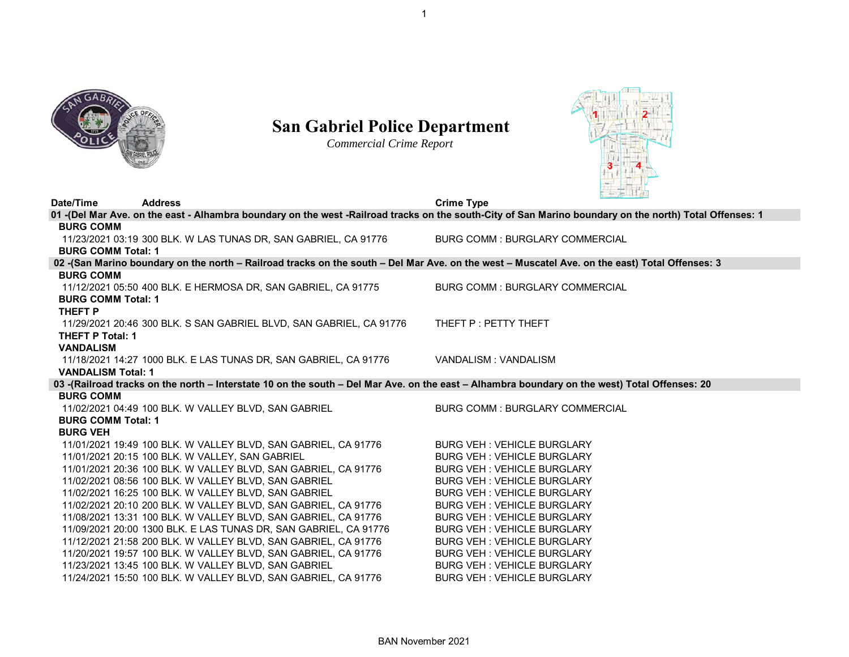

## **San Gabriel Police Department**

*Commercial Crime Report*



| Date/Time                                                                                                                                                                  | <b>Address</b> |                                                                     | <b>Crime Type</b>                                                                                                                                       |  |  |  |
|----------------------------------------------------------------------------------------------------------------------------------------------------------------------------|----------------|---------------------------------------------------------------------|---------------------------------------------------------------------------------------------------------------------------------------------------------|--|--|--|
|                                                                                                                                                                            |                |                                                                     | 01 -(Del Mar Ave. on the east - Alhambra boundary on the west -Railroad tracks on the south-City of San Marino boundary on the north) Total Offenses: 1 |  |  |  |
| <b>BURG COMM</b>                                                                                                                                                           |                |                                                                     |                                                                                                                                                         |  |  |  |
|                                                                                                                                                                            |                | 11/23/2021 03:19 300 BLK. W LAS TUNAS DR, SAN GABRIEL, CA 91776     | <b>BURG COMM: BURGLARY COMMERCIAL</b>                                                                                                                   |  |  |  |
| <b>BURG COMM Total: 1</b>                                                                                                                                                  |                |                                                                     |                                                                                                                                                         |  |  |  |
|                                                                                                                                                                            |                |                                                                     | 02 -(San Marino boundary on the north - Railroad tracks on the south - Del Mar Ave. on the west - Muscatel Ave. on the east) Total Offenses: 3          |  |  |  |
| <b>BURG COMM</b>                                                                                                                                                           |                |                                                                     |                                                                                                                                                         |  |  |  |
|                                                                                                                                                                            |                | 11/12/2021 05:50 400 BLK. E HERMOSA DR, SAN GABRIEL, CA 91775       | <b>BURG COMM: BURGLARY COMMERCIAL</b>                                                                                                                   |  |  |  |
| <b>BURG COMM Total: 1</b>                                                                                                                                                  |                |                                                                     |                                                                                                                                                         |  |  |  |
| THEFT P                                                                                                                                                                    |                |                                                                     |                                                                                                                                                         |  |  |  |
|                                                                                                                                                                            |                | 11/29/2021 20:46 300 BLK. S SAN GABRIEL BLVD, SAN GABRIEL, CA 91776 | THEFT P : PETTY THEFT                                                                                                                                   |  |  |  |
| <b>THEFT P Total: 1</b>                                                                                                                                                    |                |                                                                     |                                                                                                                                                         |  |  |  |
| <b>VANDALISM</b>                                                                                                                                                           |                |                                                                     |                                                                                                                                                         |  |  |  |
|                                                                                                                                                                            |                | 11/18/2021 14:27 1000 BLK. E LAS TUNAS DR, SAN GABRIEL, CA 91776    | VANDALISM : VANDALISM                                                                                                                                   |  |  |  |
| <b>VANDALISM Total: 1</b><br>03 -(Railroad tracks on the north - Interstate 10 on the south - Del Mar Ave. on the east - Alhambra boundary on the west) Total Offenses: 20 |                |                                                                     |                                                                                                                                                         |  |  |  |
| <b>BURG COMM</b>                                                                                                                                                           |                |                                                                     |                                                                                                                                                         |  |  |  |
|                                                                                                                                                                            |                | 11/02/2021 04:49 100 BLK. W VALLEY BLVD, SAN GABRIEL                | <b>BURG COMM: BURGLARY COMMERCIAL</b>                                                                                                                   |  |  |  |
| <b>BURG COMM Total: 1</b>                                                                                                                                                  |                |                                                                     |                                                                                                                                                         |  |  |  |
| <b>BURG VEH</b>                                                                                                                                                            |                |                                                                     |                                                                                                                                                         |  |  |  |
|                                                                                                                                                                            |                | 11/01/2021 19:49 100 BLK. W VALLEY BLVD, SAN GABRIEL, CA 91776      | <b>BURG VEH: VEHICLE BURGLARY</b>                                                                                                                       |  |  |  |
|                                                                                                                                                                            |                | 11/01/2021 20:15 100 BLK. W VALLEY, SAN GABRIEL                     | <b>BURG VEH: VEHICLE BURGLARY</b>                                                                                                                       |  |  |  |
|                                                                                                                                                                            |                | 11/01/2021 20:36 100 BLK. W VALLEY BLVD, SAN GABRIEL, CA 91776      | <b>BURG VEH: VEHICLE BURGLARY</b>                                                                                                                       |  |  |  |
|                                                                                                                                                                            |                | 11/02/2021 08:56 100 BLK. W VALLEY BLVD, SAN GABRIEL                | <b>BURG VEH: VEHICLE BURGLARY</b>                                                                                                                       |  |  |  |
|                                                                                                                                                                            |                | 11/02/2021 16:25 100 BLK. W VALLEY BLVD, SAN GABRIEL                | <b>BURG VEH: VEHICLE BURGLARY</b>                                                                                                                       |  |  |  |
|                                                                                                                                                                            |                | 11/02/2021 20:10 200 BLK. W VALLEY BLVD, SAN GABRIEL, CA 91776      | <b>BURG VEH: VEHICLE BURGLARY</b>                                                                                                                       |  |  |  |
|                                                                                                                                                                            |                | 11/08/2021 13:31 100 BLK. W VALLEY BLVD, SAN GABRIEL, CA 91776      | <b>BURG VEH: VEHICLE BURGLARY</b>                                                                                                                       |  |  |  |
|                                                                                                                                                                            |                | 11/09/2021 20:00 1300 BLK. E LAS TUNAS DR, SAN GABRIEL, CA 91776    | <b>BURG VEH: VEHICLE BURGLARY</b>                                                                                                                       |  |  |  |
|                                                                                                                                                                            |                | 11/12/2021 21:58 200 BLK. W VALLEY BLVD, SAN GABRIEL, CA 91776      | <b>BURG VEH: VEHICLE BURGLARY</b>                                                                                                                       |  |  |  |
|                                                                                                                                                                            |                | 11/20/2021 19:57 100 BLK. W VALLEY BLVD, SAN GABRIEL, CA 91776      | <b>BURG VEH: VEHICLE BURGLARY</b>                                                                                                                       |  |  |  |
|                                                                                                                                                                            |                | 11/23/2021 13:45 100 BLK. W VALLEY BLVD, SAN GABRIEL                | <b>BURG VEH: VEHICLE BURGLARY</b>                                                                                                                       |  |  |  |
|                                                                                                                                                                            |                | 11/24/2021 15:50 100 BLK. W VALLEY BLVD, SAN GABRIEL, CA 91776      | <b>BURG VEH: VEHICLE BURGLARY</b>                                                                                                                       |  |  |  |
|                                                                                                                                                                            |                |                                                                     |                                                                                                                                                         |  |  |  |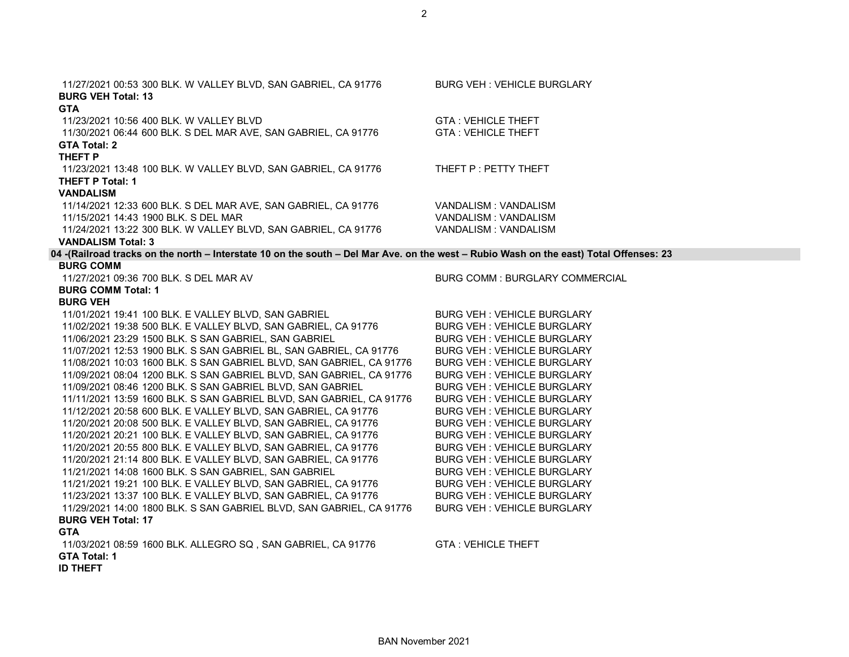BAN November 2021

| 11/27/2021 00:53 300 BLK. W VALLEY BLVD, SAN GABRIEL, CA 91776<br><b>BURG VEH Total: 13</b>                                            | <b>BURG VEH: VEHICLE BURGLARY</b>     |
|----------------------------------------------------------------------------------------------------------------------------------------|---------------------------------------|
| <b>GTA</b>                                                                                                                             |                                       |
| 11/23/2021 10:56 400 BLK. W VALLEY BLVD                                                                                                | <b>GTA: VEHICLE THEFT</b>             |
| 11/30/2021 06:44 600 BLK. S DEL MAR AVE, SAN GABRIEL, CA 91776                                                                         | <b>GTA: VEHICLE THEFT</b>             |
| <b>GTA Total: 2</b>                                                                                                                    |                                       |
| THEFT P                                                                                                                                |                                       |
| 11/23/2021 13:48 100 BLK. W VALLEY BLVD, SAN GABRIEL, CA 91776                                                                         | THEFT P : PETTY THEFT                 |
| <b>THEFT P Total: 1</b>                                                                                                                |                                       |
| <b>VANDALISM</b>                                                                                                                       |                                       |
| 11/14/2021 12:33 600 BLK. S DEL MAR AVE, SAN GABRIEL, CA 91776                                                                         | VANDALISM: VANDALISM                  |
| 11/15/2021 14:43 1900 BLK. S DEL MAR                                                                                                   | VANDALISM : VANDALISM                 |
| 11/24/2021 13:22 300 BLK. W VALLEY BLVD, SAN GABRIEL, CA 91776                                                                         | VANDALISM: VANDALISM                  |
| <b>VANDALISM Total: 3</b>                                                                                                              |                                       |
| 04 -(Railroad tracks on the north - Interstate 10 on the south - Del Mar Ave. on the west - Rubio Wash on the east) Total Offenses: 23 |                                       |
| <b>BURG COMM</b>                                                                                                                       |                                       |
| 11/27/2021 09:36 700 BLK. S DEL MAR AV                                                                                                 | <b>BURG COMM: BURGLARY COMMERCIAL</b> |
| <b>BURG COMM Total: 1</b>                                                                                                              |                                       |
| <b>BURG VEH</b>                                                                                                                        |                                       |
| 11/01/2021 19:41 100 BLK. E VALLEY BLVD, SAN GABRIEL                                                                                   | <b>BURG VEH: VEHICLE BURGLARY</b>     |
| 11/02/2021 19:38 500 BLK. E VALLEY BLVD, SAN GABRIEL, CA 91776                                                                         | BURG VEH : VEHICLE BURGLARY           |
| 11/06/2021 23:29 1500 BLK. S SAN GABRIEL, SAN GABRIEL                                                                                  | <b>BURG VEH: VEHICLE BURGLARY</b>     |
| 11/07/2021 12:53 1900 BLK. S SAN GABRIEL BL, SAN GABRIEL, CA 91776                                                                     | <b>BURG VEH: VEHICLE BURGLARY</b>     |
| 11/08/2021 10:03 1600 BLK. S SAN GABRIEL BLVD, SAN GABRIEL, CA 91776                                                                   | <b>BURG VEH: VEHICLE BURGLARY</b>     |
| 11/09/2021 08:04 1200 BLK. S SAN GABRIEL BLVD, SAN GABRIEL, CA 91776                                                                   | <b>BURG VEH: VEHICLE BURGLARY</b>     |
| 11/09/2021 08:46 1200 BLK. S SAN GABRIEL BLVD, SAN GABRIEL                                                                             | <b>BURG VEH: VEHICLE BURGLARY</b>     |
| 11/11/2021 13:59 1600 BLK. S SAN GABRIEL BLVD, SAN GABRIEL, CA 91776                                                                   | <b>BURG VEH: VEHICLE BURGLARY</b>     |
| 11/12/2021 20:58 600 BLK. E VALLEY BLVD, SAN GABRIEL, CA 91776                                                                         | <b>BURG VEH: VEHICLE BURGLARY</b>     |
| 11/20/2021 20:08 500 BLK. E VALLEY BLVD, SAN GABRIEL, CA 91776                                                                         | <b>BURG VEH: VEHICLE BURGLARY</b>     |
| 11/20/2021 20:21 100 BLK. E VALLEY BLVD, SAN GABRIEL, CA 91776                                                                         | <b>BURG VEH: VEHICLE BURGLARY</b>     |
| 11/20/2021 20:55 800 BLK. E VALLEY BLVD, SAN GABRIEL, CA 91776                                                                         | <b>BURG VEH: VEHICLE BURGLARY</b>     |
| 11/20/2021 21:14 800 BLK. E VALLEY BLVD, SAN GABRIEL, CA 91776                                                                         | <b>BURG VEH: VEHICLE BURGLARY</b>     |
| 11/21/2021 14:08 1600 BLK. S SAN GABRIEL, SAN GABRIEL                                                                                  | <b>BURG VEH: VEHICLE BURGLARY</b>     |
| 11/21/2021 19:21 100 BLK. E VALLEY BLVD, SAN GABRIEL, CA 91776                                                                         | <b>BURG VEH: VEHICLE BURGLARY</b>     |
| 11/23/2021 13:37 100 BLK. E VALLEY BLVD, SAN GABRIEL, CA 91776                                                                         | <b>BURG VEH: VEHICLE BURGLARY</b>     |
| 11/29/2021 14:00 1800 BLK. S SAN GABRIEL BLVD, SAN GABRIEL, CA 91776                                                                   | <b>BURG VEH: VEHICLE BURGLARY</b>     |
| <b>BURG VEH Total: 17</b>                                                                                                              |                                       |
| <b>GTA</b>                                                                                                                             |                                       |
| 11/03/2021 08:59 1600 BLK. ALLEGRO SQ, SAN GABRIEL, CA 91776                                                                           | <b>GTA: VEHICLE THEFT</b>             |
| <b>GTA Total: 1</b>                                                                                                                    |                                       |
| <b>ID THEFT</b>                                                                                                                        |                                       |